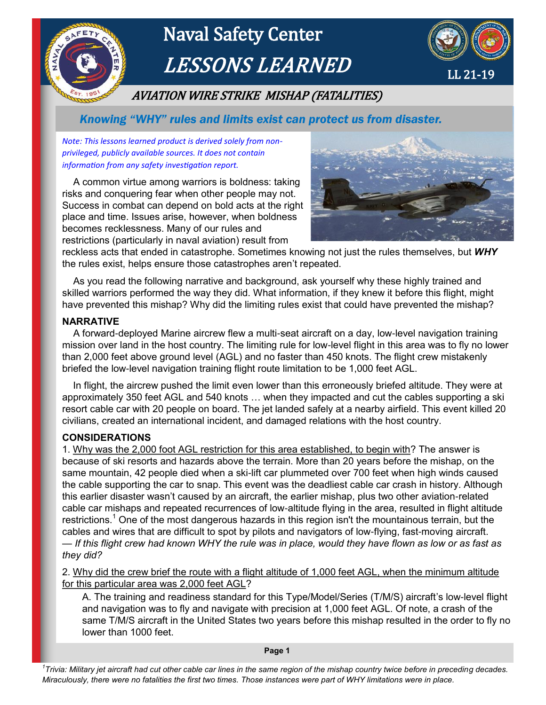

# Naval Safety Center LESSONS LEARNED



# AVIATION WIRE STRIKE MISHAP (FATALITIES)

 *Knowing "WHY" rules and limits exist can protect us from disaster.*

*Note: This lessons learned product is derived solely from nonprivileged, publicly available sources. It does not contain information from any safety investigation report.*

 A common virtue among warriors is boldness: taking risks and conquering fear when other people may not. Success in combat can depend on bold acts at the right place and time. Issues arise, however, when boldness becomes recklessness. Many of our rules and restrictions (particularly in naval aviation) result from



reckless acts that ended in catastrophe. Sometimes knowing not just the rules themselves, but *WHY* the rules exist, helps ensure those catastrophes aren't repeated.

 As you read the following narrative and background, ask yourself why these highly trained and skilled warriors performed the way they did. What information, if they knew it before this flight, might have prevented this mishap? Why did the limiting rules exist that could have prevented the mishap?

#### **NARRATIVE**

 A forward-deployed Marine aircrew flew a multi-seat aircraft on a day, low-level navigation training mission over land in the host country. The limiting rule for low-level flight in this area was to fly no lower than 2,000 feet above ground level (AGL) and no faster than 450 knots. The flight crew mistakenly briefed the low-level navigation training flight route limitation to be 1,000 feet AGL.

 In flight, the aircrew pushed the limit even lower than this erroneously briefed altitude. They were at approximately 350 feet AGL and 540 knots … when they impacted and cut the cables supporting a ski resort cable car with 20 people on board. The jet landed safely at a nearby airfield. This event killed 20 civilians, created an international incident, and damaged relations with the host country.

#### **CONSIDERATIONS**

1. Why was the 2,000 foot AGL restriction for this area established, to begin with? The answer is because of ski resorts and hazards above the terrain. More than 20 years before the mishap, on the same mountain, 42 people died when a ski-lift car plummeted over 700 feet when high winds caused the cable supporting the car to snap. This event was the deadliest cable car crash in history. Although this earlier disaster wasn't caused by an aircraft, the earlier mishap, plus two other aviation-related cable car mishaps and repeated recurrences of low-altitude flying in the area, resulted in flight altitude restrictions.<sup>1</sup> One of the most dangerous hazards in this region isn't the mountainous terrain, but the cables and wires that are difficult to spot by pilots and navigators of low-flying, fast-moving aircraft. — *If this flight crew had known WHY the rule was in place, would they have flown as low or as fast as* 

*they did?*

2. Why did the crew brief the route with a flight altitude of 1,000 feet AGL, when the minimum altitude for this particular area was 2,000 feet AGL?

A. The training and readiness standard for this Type/Model/Series (T/M/S) aircraft's low-level flight and navigation was to fly and navigate with precision at 1,000 feet AGL. Of note, a crash of the same T/M/S aircraft in the United States two years before this mishap resulted in the order to fly no lower than 1000 feet.

**Page 1**

*1 Trivia: Military jet aircraft had cut other cable car lines in the same region of the mishap country twice before in preceding decades. Miraculously, there were no fatalities the first two times. Those instances were part of WHY limitations were in place.*